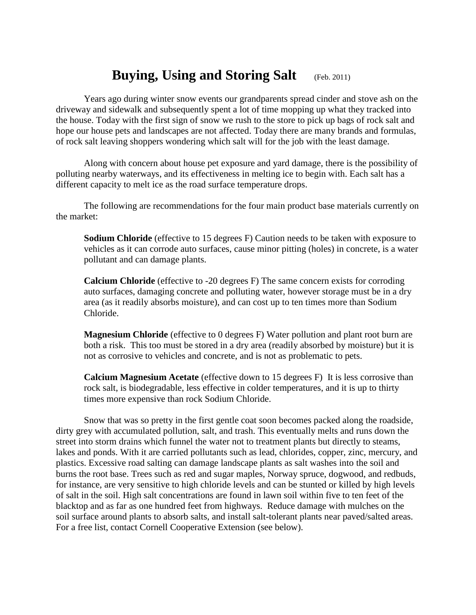## **Buying, Using and Storing Salt** (Feb. 2011)

Years ago during winter snow events our grandparents spread cinder and stove ash on the driveway and sidewalk and subsequently spent a lot of time mopping up what they tracked into the house. Today with the first sign of snow we rush to the store to pick up bags of rock salt and hope our house pets and landscapes are not affected. Today there are many brands and formulas, of rock salt leaving shoppers wondering which salt will for the job with the least damage.

Along with concern about house pet exposure and yard damage, there is the possibility of polluting nearby waterways, and its effectiveness in melting ice to begin with. Each salt has a different capacity to melt ice as the road surface temperature drops.

The following are recommendations for the four main product base materials currently on the market:

**Sodium Chloride** (effective to 15 degrees F) Caution needs to be taken with exposure to vehicles as it can corrode auto surfaces, cause minor pitting (holes) in concrete, is a water pollutant and can damage plants.

**Calcium Chloride** (effective to -20 degrees F) The same concern exists for corroding auto surfaces, damaging concrete and polluting water, however storage must be in a dry area (as it readily absorbs moisture), and can cost up to ten times more than Sodium Chloride.

**Magnesium Chloride** (effective to 0 degrees F) Water pollution and plant root burn are both a risk. This too must be stored in a dry area (readily absorbed by moisture) but it is not as corrosive to vehicles and concrete, and is not as problematic to pets.

**Calcium Magnesium Acetate** (effective down to 15 degrees F) It is less corrosive than rock salt, is biodegradable, less effective in colder temperatures, and it is up to thirty times more expensive than rock Sodium Chloride.

Snow that was so pretty in the first gentle coat soon becomes packed along the roadside, dirty grey with accumulated pollution, salt, and trash. This eventually melts and runs down the street into storm drains which funnel the water not to treatment plants but directly to steams, lakes and ponds. With it are carried pollutants such as lead, chlorides, copper, zinc, mercury, and plastics. Excessive road salting can damage landscape plants as salt washes into the soil and burns the root base. Trees such as red and sugar maples, Norway spruce, dogwood, and redbuds, for instance, are very sensitive to high chloride levels and can be stunted or killed by high levels of salt in the soil. High salt concentrations are found in lawn soil within five to ten feet of the blacktop and as far as one hundred feet from highways. Reduce damage with mulches on the soil surface around plants to absorb salts, and install salt-tolerant plants near paved/salted areas. For a free list, contact Cornell Cooperative Extension (see below).